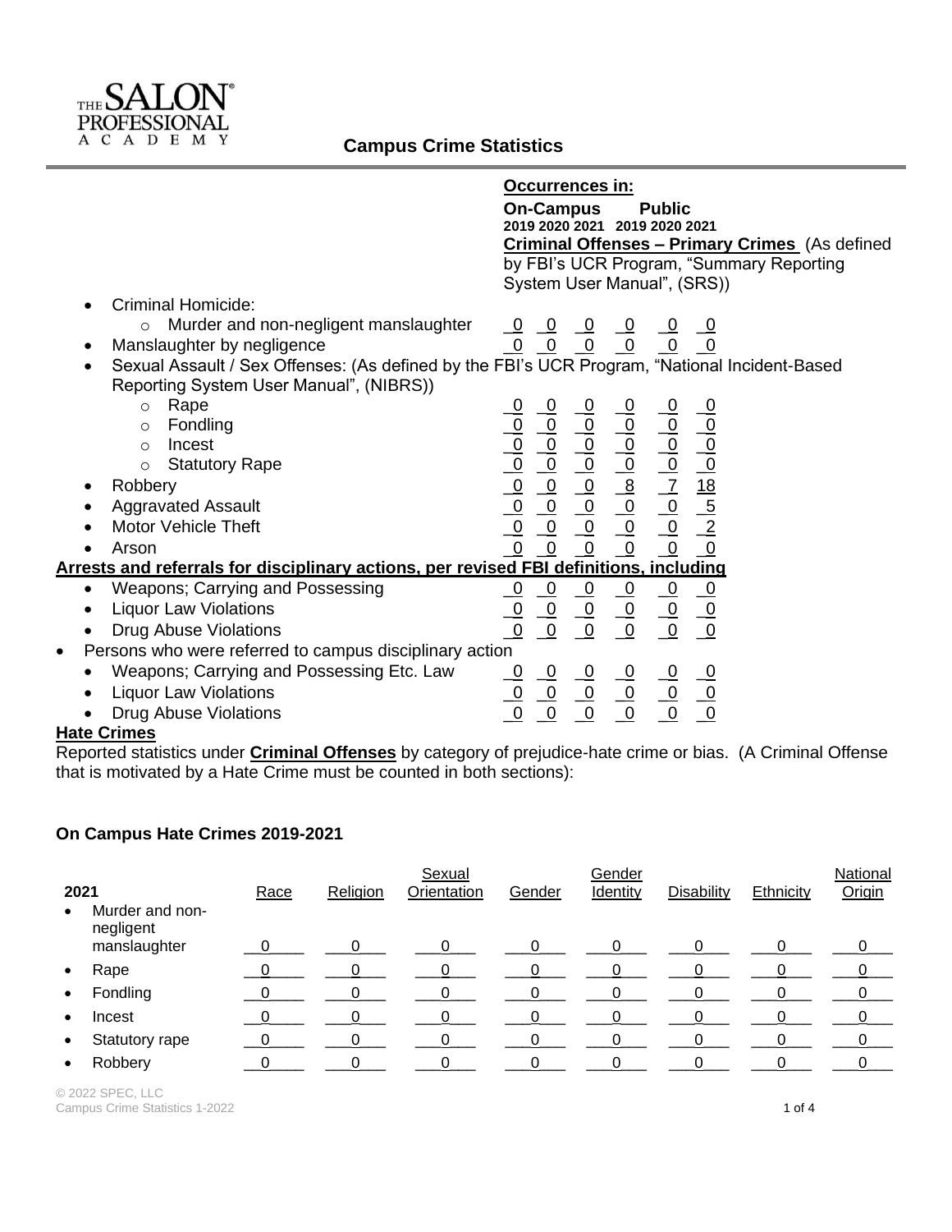

|                                                                                                            | Occurrences in:                                                                                                                                                                                                                                                                                                                                                                                                                                                        |
|------------------------------------------------------------------------------------------------------------|------------------------------------------------------------------------------------------------------------------------------------------------------------------------------------------------------------------------------------------------------------------------------------------------------------------------------------------------------------------------------------------------------------------------------------------------------------------------|
|                                                                                                            | <b>On-Campus</b><br><b>Public</b>                                                                                                                                                                                                                                                                                                                                                                                                                                      |
|                                                                                                            | 2019 2020 2021 2019 2020 2021                                                                                                                                                                                                                                                                                                                                                                                                                                          |
|                                                                                                            | <b>Criminal Offenses - Primary Crimes</b> (As defined                                                                                                                                                                                                                                                                                                                                                                                                                  |
|                                                                                                            | by FBI's UCR Program, "Summary Reporting                                                                                                                                                                                                                                                                                                                                                                                                                               |
|                                                                                                            | System User Manual", (SRS))                                                                                                                                                                                                                                                                                                                                                                                                                                            |
| <b>Criminal Homicide:</b><br>$\bullet$                                                                     |                                                                                                                                                                                                                                                                                                                                                                                                                                                                        |
| Murder and non-negligent manslaughter<br>$\circ$                                                           |                                                                                                                                                                                                                                                                                                                                                                                                                                                                        |
| Manslaughter by negligence                                                                                 | <u>0 0 0 0 0 0</u><br>0 0 0 0 0 0                                                                                                                                                                                                                                                                                                                                                                                                                                      |
| Sexual Assault / Sex Offenses: (As defined by the FBI's UCR Program, "National Incident-Based<br>$\bullet$ |                                                                                                                                                                                                                                                                                                                                                                                                                                                                        |
| Reporting System User Manual", (NIBRS))                                                                    |                                                                                                                                                                                                                                                                                                                                                                                                                                                                        |
| Rape<br>$\circ$                                                                                            |                                                                                                                                                                                                                                                                                                                                                                                                                                                                        |
| Fondling<br>$\circ$                                                                                        |                                                                                                                                                                                                                                                                                                                                                                                                                                                                        |
| Incest<br>$\circ$                                                                                          |                                                                                                                                                                                                                                                                                                                                                                                                                                                                        |
| <b>Statutory Rape</b><br>$\circ$                                                                           |                                                                                                                                                                                                                                                                                                                                                                                                                                                                        |
| Robbery                                                                                                    | $\begin{array}{cccccc}\n0 & 0 & 0 & 0 & 0 & 0 \\ \hline\n0 & 0 & 0 & 0 & 0 & 0 \\ \hline\n0 & 0 & 0 & 0 & 0 & 0 \\ \hline\n0 & 0 & 0 & 0 & 0 & 0 \\ \hline\n0 & 0 & 0 & 0 & 0 & 0 \\ \hline\n0 & 0 & 0 & 0 & 0 & 0 \\ \hline\n0 & 0 & 0 & 0 & 0 & 0 \\ \hline\n0 & 0 & 0 & 0 & 0 & 0 \\ \hline\n0 & 0 & 0 & 0 & 0 & 0 \\ \hline\n0 & 0 & 0 & 0 & 0 & 0 \\ \hline\n\$                                                                                                   |
| <b>Aggravated Assault</b>                                                                                  |                                                                                                                                                                                                                                                                                                                                                                                                                                                                        |
| <b>Motor Vehicle Theft</b>                                                                                 |                                                                                                                                                                                                                                                                                                                                                                                                                                                                        |
| Arson                                                                                                      |                                                                                                                                                                                                                                                                                                                                                                                                                                                                        |
| Arrests and referrals for disciplinary actions, per revised FBI definitions, including                     |                                                                                                                                                                                                                                                                                                                                                                                                                                                                        |
| <b>Weapons; Carrying and Possessing</b><br>$\bullet$                                                       |                                                                                                                                                                                                                                                                                                                                                                                                                                                                        |
| <b>Liquor Law Violations</b>                                                                               |                                                                                                                                                                                                                                                                                                                                                                                                                                                                        |
| Drug Abuse Violations                                                                                      | $\begin{array}{c}\n\phantom{-}\underline{-\mathbf{0}} \\ \phantom{-}\underline{-\mathbf{0}} \\ \phantom{-}\underline{-\mathbf{0}}\n\end{array}$<br>$\frac{-0}{-0}$<br>$\begin{array}{c}\n\phantom{-}\underline{-\mathbf{0}} \\ \phantom{-}\underline{-\mathbf{0}} \\ \phantom{-}\underline{-\mathbf{0}}\n\end{array}$<br>$\frac{0}{0}$<br>$\begin{array}{c}\n0 \\ \hline\n0 \\ \hline\n0\n\end{array}$<br>$\begin{array}{r}\n0 \\ \hline\n0 \\ \hline\n0\n\end{array}$ |
| Persons who were referred to campus disciplinary action<br>٠                                               |                                                                                                                                                                                                                                                                                                                                                                                                                                                                        |
| Weapons; Carrying and Possessing Etc. Law                                                                  |                                                                                                                                                                                                                                                                                                                                                                                                                                                                        |
| <b>Liquor Law Violations</b>                                                                               | $\begin{array}{cccccccccc} 0 & 0 & 0 & 0 & 0 & 0 & 0 \\ \hline 0 & 0 & 0 & 0 & 0 & 0 & 0 \\ \hline 0 & 0 & 0 & 0 & 0 & 0 & 0 \\ \hline \end{array}$                                                                                                                                                                                                                                                                                                                    |
| <b>Drug Abuse Violations</b>                                                                               |                                                                                                                                                                                                                                                                                                                                                                                                                                                                        |
|                                                                                                            |                                                                                                                                                                                                                                                                                                                                                                                                                                                                        |

## **Hate Crimes**

Reported statistics under **Criminal Offenses** by category of prejudice-hate crime or bias. (A Criminal Offense that is motivated by a Hate Crime must be counted in both sections):

## **On Campus Hate Crimes 2019-2021**

|           |                              |      |          | Sexual       |        | Gender   |                   |           | National |
|-----------|------------------------------|------|----------|--------------|--------|----------|-------------------|-----------|----------|
| 2021      |                              | Race | Religion | Orientation  | Gender | Identity | <b>Disability</b> | Ethnicity | Origin   |
| $\bullet$ | Murder and non-<br>negligent |      |          |              |        |          |                   |           |          |
|           | manslaughter                 |      | ∩        | <sup>n</sup> | ∩      |          | 0                 |           |          |
| $\bullet$ | Rape                         |      |          |              |        |          |                   |           |          |
| $\bullet$ | Fondling                     |      |          |              |        |          |                   |           |          |
| $\bullet$ | Incest                       |      |          |              |        |          |                   |           |          |
| $\bullet$ | Statutory rape               |      |          |              |        |          |                   |           |          |
| $\bullet$ | Robbery                      |      |          |              |        |          |                   |           |          |

© 2022 SPEC, LLC Campus Crime Statistics 1-2022<br> **Campus Crime Statistics 1-2022**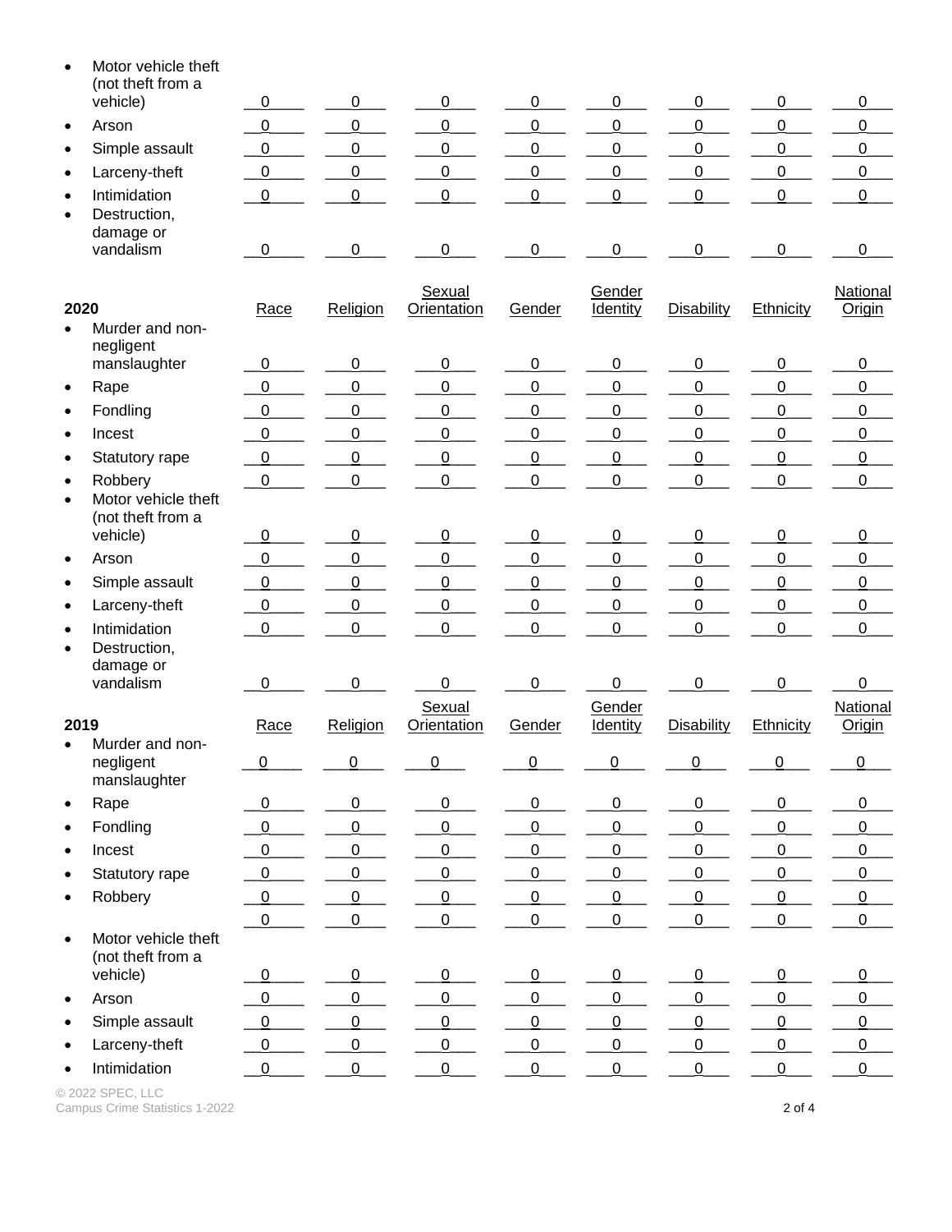| $\bullet$              | Motor vehicle theft<br>(not theft from a     |                  |                |                       |                |                           |                   |                |                           |
|------------------------|----------------------------------------------|------------------|----------------|-----------------------|----------------|---------------------------|-------------------|----------------|---------------------------|
|                        | vehicle)                                     | $\overline{0}$   | 0              | 0                     | 0              | 0                         | 0                 | 0              | $\pmb{0}$                 |
| $\bullet$              | Arson                                        | $\overline{0}$   | $\overline{0}$ | $\mathbf 0$           | 0              | $\pmb{0}$                 | 0                 | $\pmb{0}$      | $\pmb{0}$                 |
| $\bullet$              | Simple assault                               | 0                | 0              | $\mathbf 0$           | 0              | 0                         | 0                 | 0              | $\overline{0}$            |
| $\bullet$              | Larceny-theft                                | $\overline{0}$   | $\overline{0}$ | $\overline{0}$        | 0              | $\overline{0}$            | 0                 | 0              | $\overline{0}$            |
| $\bullet$<br>$\bullet$ | Intimidation<br>Destruction,<br>damage or    | 0                | 0              | 0                     | 0              | 0                         | 0                 | $\Omega$       | $\pmb{0}$                 |
|                        | vandalism                                    | $\overline{0}$   | 0              | $\mathbf 0$           | 0              | 0                         | 0                 | 0              | $\pmb{0}$                 |
| 2020                   |                                              | Race             | Religion       | Sexual<br>Orientation | Gender         | Gender<br><b>Identity</b> | <b>Disability</b> | Ethnicity      | National<br>Origin        |
| $\bullet$              | Murder and non-                              |                  |                |                       |                |                           |                   |                |                           |
|                        | negligent<br>manslaughter                    | $\mathbf 0$      | 0              | 0                     | 0              | 0                         | 0                 | 0              | 0                         |
| $\bullet$              | Rape                                         | $\overline{0}$   | $\overline{0}$ | 0                     | 0              | 0                         | 0                 | 0              | 0                         |
| $\bullet$              | Fondling                                     | $\overline{0}$   | 0              | $\mathbf 0$           | 0              | $\mathsf 0$               | 0                 | $\mathbf 0$    | $\boldsymbol{0}$          |
| $\bullet$              | Incest                                       | $\overline{0}$   | $\overline{0}$ | $\mathbf 0$           | 0              | $\mathsf 0$               | 0                 | $\mathbf 0$    | 0                         |
| $\bullet$              | Statutory rape                               | $\boldsymbol{0}$ | 0              | 0                     | 0              | 0                         | 0                 | 0              | 0                         |
| $\bullet$              | Robbery                                      | $\overline{0}$   | $\overline{0}$ | $\mathbf 0$           | 0              | $\mathsf 0$               | 0                 | $\overline{0}$ | $\overline{0}$            |
| $\bullet$              | Motor vehicle theft<br>(not theft from a     |                  |                |                       |                |                           |                   |                |                           |
|                        | vehicle)                                     | $\overline{0}$   | 0              | 0                     | 0              | 0                         | $\overline{0}$    | 0              | 0                         |
| $\bullet$              | Arson                                        | $\pmb{0}$        | 0              | 0                     | 0              | 0                         | $\mathbf 0$       | $\mathbf 0$    | $\pmb{0}$                 |
| $\bullet$              | Simple assault                               | $\overline{0}$   | $\overline{0}$ | 0                     | 0              | 0                         | $\overline{0}$    | $\mathbf 0$    | 0                         |
| $\bullet$              | Larceny-theft                                | $\boldsymbol{0}$ | 0              | 0                     | 0              | 0                         | 0                 | 0              | $\pmb{0}$                 |
| $\bullet$<br>$\bullet$ | Intimidation<br>Destruction,<br>damage or    | $\pmb{0}$        | $\mathsf 0$    | $\mathbf 0$           | 0              | 0                         | 0                 | $\overline{0}$ | $\pmb{0}$                 |
|                        | vandalism                                    | 0                | 0              | 0                     | 0              | 0                         | 0                 | $\Omega$       | 0                         |
| 2019                   |                                              | Race             | Religion       | Sexual<br>Orientation | Gender         | Gender<br>Identity        | Disability        | Ethnicity      | National<br><b>Origin</b> |
| $\bullet$              | Murder and non-<br>negligent<br>manslaughter | $\overline{0}$   | $\overline{0}$ | $\overline{0}$        | $\overline{0}$ | $\overline{0}$            | 0                 | $\overline{0}$ | $\overline{0}$            |
| $\bullet$              | Rape                                         | $\overline{0}$   | $\overline{0}$ | $\overline{0}$        | $\overline{0}$ | 0                         | $\overline{0}$    | $\overline{0}$ | $\pmb{0}$                 |
| $\bullet$              | Fondling                                     | $\overline{0}$   | $\overline{0}$ | $\overline{0}$        | $\overline{0}$ | $\overline{0}$            | $\overline{0}$    | 0              | $\overline{0}$            |
| $\bullet$              | Incest                                       | $\overline{0}$   | $\overline{0}$ | $\overline{0}$        | $\overline{0}$ | $\pmb{0}$                 | $\overline{0}$    | $\mathsf 0$    | $\pmb{0}$                 |
| $\bullet$              | Statutory rape                               | $\overline{0}$   | $\overline{0}$ | $\overline{0}$        | $\overline{0}$ | $\pmb{0}$                 | $\overline{0}$    | $\pmb{0}$      | $\overline{0}$            |
| $\bullet$              | Robbery                                      | $\overline{0}$   | $\overline{0}$ | $\overline{0}$        | $\overline{0}$ | $\mathsf 0$               | 0                 | $\pmb{0}$      | $\pmb{0}$                 |
|                        |                                              | $\overline{0}$   | $\overline{0}$ | $\overline{0}$        | $\mathbf 0$    | $\overline{0}$            | 0                 | $\mathbf 0$    | $\overline{0}$            |
| $\bullet$              | Motor vehicle theft<br>(not theft from a     |                  |                |                       |                |                           |                   |                |                           |
|                        | vehicle)                                     | $\overline{0}$   | $\overline{0}$ | $\overline{0}$        | $\overline{0}$ | $\overline{0}$            | $\overline{0}$    | $\overline{0}$ | $\overline{0}$            |
| $\bullet$              | Arson                                        | $\overline{0}$   | $\overline{0}$ | $\overline{0}$        | $\overline{0}$ | 0                         | 0                 | 0              | $\mathbf 0$               |
| $\bullet$              | Simple assault                               | $\overline{0}$   | $\overline{0}$ | $\overline{0}$        | $\overline{0}$ | $\overline{0}$            | 0                 | $\overline{0}$ | $\overline{0}$            |
| $\bullet$              | Larceny-theft                                | $\boldsymbol{0}$ | $\mathsf 0$    | $\pmb{0}$             | $\mathsf 0$    | 0                         | 0                 | $\mathbf 0$    | $\mathbf 0$               |
| $\bullet$              | Intimidation                                 | $\overline{0}$   | $\overline{0}$ | $\mathbf 0$           | $\mathbf 0$    | $\mathsf 0$               | 0                 | $\overline{0}$ | $\overline{0}$            |

© 2022 SPEC, LLC Campus Crime Statistics 1-2022 **2 of 4** and the control of the control of the control of the control of the control of the control of the control of the control of the control of the control of the control of the control o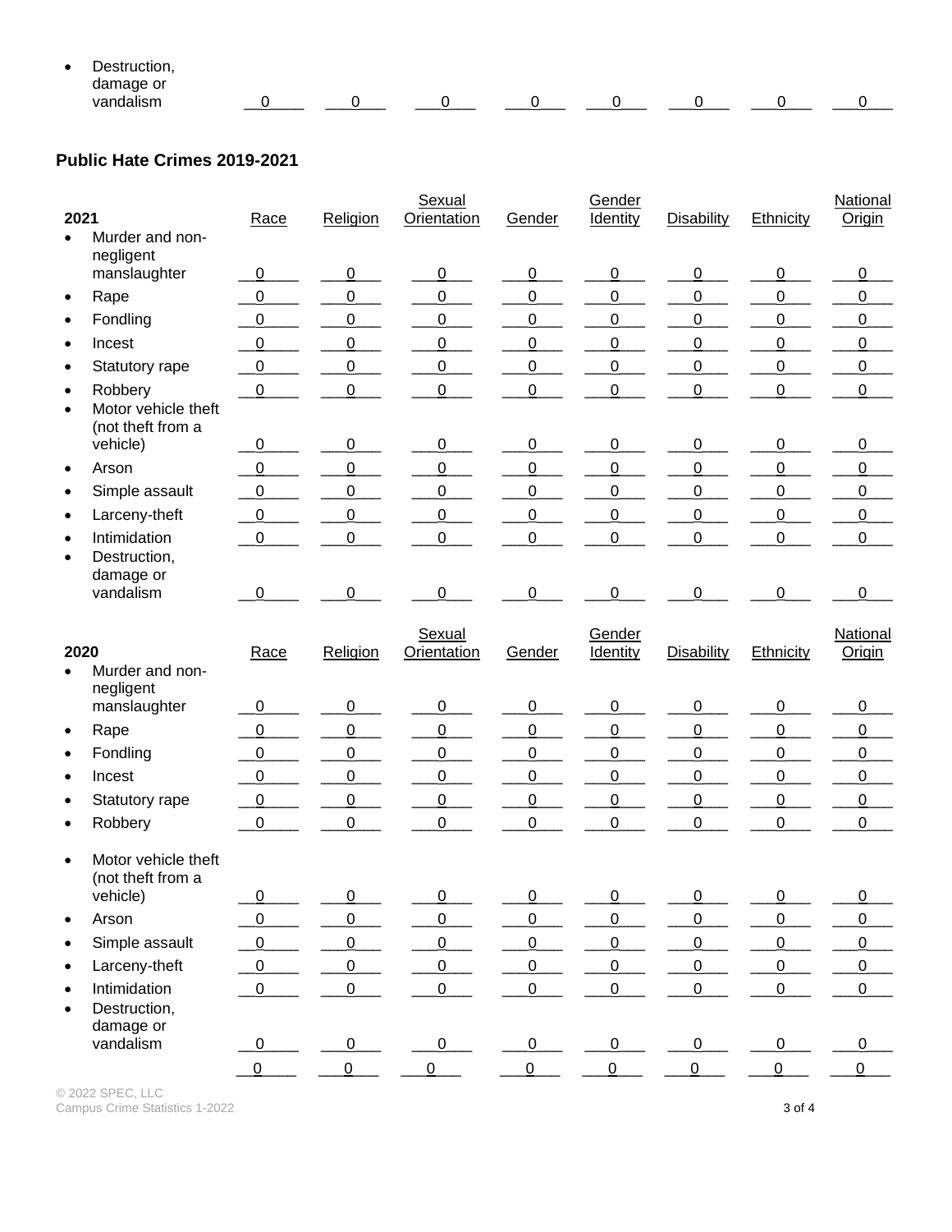| $\bullet$ | -<br>יםנ<br>truction.    |  |        |  |  |  |
|-----------|--------------------------|--|--------|--|--|--|
|           | damage or<br>ັ           |  |        |  |  |  |
|           | .<br>van<br>ndalıem<br>. |  | ______ |  |  |  |

## **Public Hate Crimes 2019-2021**

| 2021                   |                                                     | Race             | Religion       | Sexual<br>Orientation        | Gender         | Gender<br>Identity        | <b>Disability</b> | Ethnicity      | <b>National</b><br>Origin |
|------------------------|-----------------------------------------------------|------------------|----------------|------------------------------|----------------|---------------------------|-------------------|----------------|---------------------------|
| $\bullet$              | Murder and non-<br>negligent                        |                  |                |                              |                |                           |                   |                |                           |
|                        | manslaughter                                        | $\mathbf 0$      | 0              | $\overline{0}$               | $\overline{0}$ | $\overline{0}$            | $\overline{0}$    | $\overline{0}$ | 0                         |
| $\bullet$              | Rape                                                | 0                | 0              | 0                            | 0              | 0                         | $\mathbf 0$       | 0              | $\pmb{0}$                 |
| $\bullet$              | Fondling                                            | 0                | $\mathbf 0$    | $\overline{0}$               | $\overline{0}$ | 0                         | 0                 | 0              | $\boldsymbol{0}$          |
| $\bullet$              | Incest                                              | $\mathbf 0$      | $\overline{0}$ | 0                            | $\mathbf 0$    | 0                         | $\mathbf 0$       | 0              | 0                         |
| $\bullet$              | Statutory rape                                      | $\boldsymbol{0}$ | 0              | $\overline{0}$               | $\overline{0}$ | 0                         | 0                 | 0              | $\overline{0}$            |
| $\bullet$<br>$\bullet$ | Robbery<br>Motor vehicle theft<br>(not theft from a | $\mathbf 0$      | 0              | 0                            | 0              | 0                         | $\overline{0}$    | 0              | $\pmb{0}$                 |
|                        | vehicle)                                            | 0                | 0              | $\overline{0}$               | 0              | 0                         | 0                 | $\overline{0}$ | 0                         |
| $\bullet$              | Arson                                               | $\boldsymbol{0}$ | $\mathbf 0$    | $\overline{0}$               | $\overline{0}$ | 0                         | $\mathbf 0$       | $\mathbf 0$    | $\boldsymbol{0}$          |
| $\bullet$              | Simple assault                                      | $\mathbf 0$      | $\mathbf 0$    | 0                            | $\mathbf 0$    | 0                         | 0                 | 0              | 0                         |
| $\bullet$              | Larceny-theft                                       | $\boldsymbol{0}$ | $\mathbf 0$    | 0                            | $\mathbf 0$    | 0                         | $\mathbf 0$       | $\mathbf 0$    | $\overline{0}$            |
| $\bullet$<br>$\bullet$ | Intimidation<br>Destruction,<br>damage or           | $\mathbf 0$      | $\mathbf 0$    | 0                            | $\mathbf 0$    | 0                         | 0                 | $\overline{0}$ | $\pmb{0}$                 |
|                        | vandalism                                           | 0                | $\Omega$       | 0                            | 0              | 0                         | 0                 | $\Omega$       | 0                         |
| 2020                   |                                                     | Race             | Religion       | Sexual<br><b>Orientation</b> | Gender         | Gender<br><b>Identity</b> | Disability        | Ethnicity      | National<br>Origin        |
| $\bullet$              | Murder and non-                                     |                  |                |                              |                |                           |                   |                |                           |
|                        | negligent<br>manslaughter                           | $\pmb{0}$        | $\overline{0}$ | $\overline{0}$               | $\overline{0}$ | 0                         | $\overline{0}$    | $\overline{0}$ | $\overline{0}$            |
| $\bullet$              | Rape                                                | $\boldsymbol{0}$ | $\overline{0}$ | $\overline{0}$               | $\overline{0}$ | 0                         | $\overline{0}$    | $\overline{0}$ | $\overline{0}$            |
| $\bullet$              | Fondling                                            | $\pmb{0}$        | 0              | $\overline{0}$               | $\overline{0}$ | 0                         | $\boldsymbol{0}$  | 0              | $\overline{0}$            |
| $\bullet$              | Incest                                              | $\boldsymbol{0}$ | $\overline{0}$ | $\overline{0}$               | $\overline{0}$ | 0                         | $\overline{0}$    | $\overline{0}$ | $\overline{0}$            |
| $\bullet$              | Statutory rape                                      | $\overline{0}$   | $\overline{0}$ | $\overline{0}$               | $\overline{0}$ | 0                         | $\overline{0}$    | $\overline{0}$ | $\overline{0}$            |
| $\bullet$              | Robbery                                             | $\pmb{0}$        | 0              | 0                            | 0              | 0                         | 0                 | $\mathbf 0$    | $\overline{0}$            |
| $\bullet$              | Motor vehicle theft<br>(not theft from a            |                  |                |                              |                |                           |                   |                |                           |
|                        | vehicle)                                            | $\overline{0}$   | $\overline{0}$ | $\overline{0}$               | $\overline{0}$ | $\overline{0}$            | $\overline{0}$    | $\overline{0}$ | $\pmb{0}$                 |
| $\bullet$              | Arson                                               | $\mathbf 0$      | $\mathbf 0$    | $\overline{0}$               | $\overline{0}$ | 0                         | $\overline{0}$    | $\pmb{0}$      | $\pmb{0}$                 |
| $\bullet$              | Simple assault                                      | $\mathbf 0$      | $\mathbf 0$    | $\overline{0}$               | $\overline{0}$ | $\overline{0}$            | $\overline{0}$    | $\pmb{0}$      | $\pmb{0}$                 |
| $\bullet$              | Larceny-theft                                       | $\pmb{0}$        | $\mathsf 0$    | $\overline{0}$               | $\overline{0}$ | $\overline{0}$            | $\overline{0}$    | $\pmb{0}$      | $\overline{0}$            |
| $\bullet$              | Intimidation<br>Destruction,                        | $\pmb{0}$        | $\overline{0}$ | $\overline{0}$               | $\mathbf 0$    | $\mathbf 0$               | $\mathbf 0$       | $\mathbf 0$    | $\pmb{0}$                 |
|                        | damage or<br>vandalism                              | $\overline{0}$   | $\overline{0}$ | $\overline{0}$               | $\overline{0}$ | $\overline{0}$            | 0                 | $\overline{0}$ | $\mathbf 0$               |